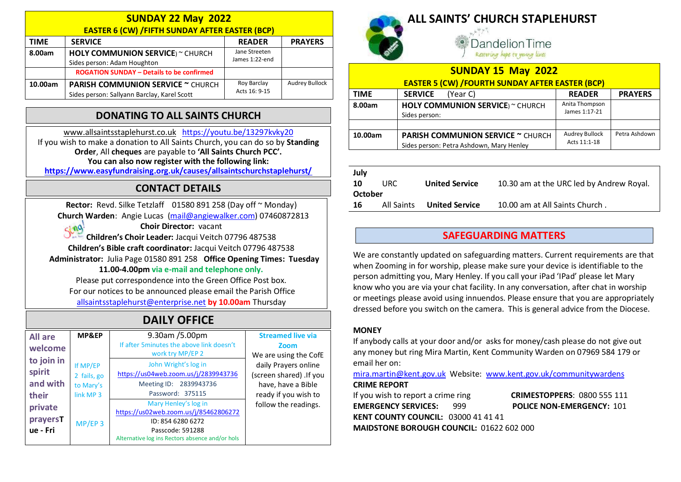| <b>SUNDAY 22 May 2022</b> |                                                       |                |                       |  |  |
|---------------------------|-------------------------------------------------------|----------------|-----------------------|--|--|
|                           | <b>EASTER 6 (CW) /FIFTH SUNDAY AFTER EASTER (BCP)</b> |                |                       |  |  |
| <b>TIME</b>               | <b>SERVICE</b>                                        | <b>READER</b>  | <b>PRAYERS</b>        |  |  |
| 8.00am                    | <b>HOLY COMMUNION SERVICE</b> ) ~ CHURCH              | Jane Streeten  |                       |  |  |
|                           | Sides person: Adam Houghton                           | James 1:22-end |                       |  |  |
|                           | <b>ROGATION SUNDAY - Details to be confirmed</b>      |                |                       |  |  |
| 10.00am                   | <b>PARISH COMMUNION SERVICE ~ CHURCH</b>              | Roy Barclay    | <b>Audrey Bullock</b> |  |  |
|                           | Sides person: Sallyann Barclay, Karel Scott           | Acts 16: 9-15  |                       |  |  |

# DONATING TO ALL SAINTS CHURCH

www.allsaintsstaplehurst.co.uk https://youtu.be/13297kvky20 If you wish to make a donation to All Saints Church, you can do so by Standing Order, All cheques are payable to 'All Saints Church PCC'. You can also now register with the following link:

https://www.easyfundraising.org.uk/causes/allsaintschurchstaplehurst/

## CONTACT DETAILS

Rector: Revd. Silke Tetzlaff 01580 891 258 (Day off ~ Monday) Church Warden: Angie Lucas (mail@angiewalker.com) 07460872813 Choir Director: vacant  $sin\theta$ 

Children's Choir Leader: Jacqui Veitch 07796 487538 Children's Bible craft coordinator: Jacqui Veitch 07796 487538 Administrator: Julia Page 01580 891 258 Office Opening Times: Tuesday

#### 11.00-4.00pm via e-mail and telephone only.

Please put correspondence into the Green Office Post box. For our notices to be announced please email the Parish Office allsaintsstaplehurst@enterprise.net by 10.00am Thursday

# DAILY OFFICE

| <b>All are</b><br>welcome                 | MP&EP                                                        | 9.30am /5.00pm<br>If after 5 minutes the above link doesn't<br>work try MP/EP 2                                                                           | <b>Streamed live via</b><br>Zoom<br>We are using the CofE                                     |
|-------------------------------------------|--------------------------------------------------------------|-----------------------------------------------------------------------------------------------------------------------------------------------------------|-----------------------------------------------------------------------------------------------|
| to join in<br>spirit<br>and with<br>their | If MP/EP<br>2 fails, go<br>to Mary's<br>link MP <sub>3</sub> | John Wright's log in<br>https://us04web.zoom.us/j/2839943736<br>Meeting ID: 2839943736<br>Password: 375115                                                | daily Prayers online<br>(screen shared) .If you<br>have, have a Bible<br>ready if you wish to |
| private<br>prayersT<br>ue - Fri           | $MP/EP$ 3                                                    | Mary Henley's log in<br>https://us02web.zoom.us/j/85462806272<br>ID: 854 6280 6272<br>Passcode: 591288<br>Alternative log ins Rectors absence and/or hols | follow the readings.                                                                          |



# ALL SAINTS' CHURCH STAPLEHURST

andelion Time Restoring hope to young lives

| <b>SUNDAY 15 May 2022</b><br><b>EASTER 5 (CW) /FOURTH SUNDAY AFTER EASTER (BCP)</b> |                                                                                      |                                       |                |  |
|-------------------------------------------------------------------------------------|--------------------------------------------------------------------------------------|---------------------------------------|----------------|--|
| <b>TIME</b>                                                                         | <b>SERVICE</b><br>(Year C)                                                           | <b>READER</b>                         | <b>PRAYERS</b> |  |
| 8.00am                                                                              | <b>HOLY COMMUNION SERVICE</b> ) ~ CHURCH<br>Sides person:                            | Anita Thompson<br>James 1:17-21       |                |  |
|                                                                                     |                                                                                      |                                       |                |  |
| 10.00am                                                                             | <b>PARISH COMMUNION SERVICE ~ CHURCH</b><br>Sides person: Petra Ashdown, Mary Henley | <b>Audrey Bullock</b><br>Acts 11:1-18 | Petra Ashdown  |  |

| July<br><b>10</b> | URC.       | <b>United Service</b> | 10.30 am at the URC led by Andrew Royal. |  |
|-------------------|------------|-----------------------|------------------------------------------|--|
| October           |            |                       |                                          |  |
| 16                | All Saints | <b>United Service</b> | 10.00 am at All Saints Church.           |  |

### SAFEGUARDING MATTERS

We are constantly updated on safeguarding matters. Current requirements are that when Zooming in for worship, please make sure your device is identifiable to the person admitting you, Mary Henley. If you call your iPad 'IPad' please let Mary know who you are via your chat facility. In any conversation, after chat in worship or meetings please avoid using innuendos. Please ensure that you are appropriately dressed before you switch on the camera. This is general advice from the Diocese.

#### **MONEY**

If anybody calls at your door and/or asks for money/cash please do not give out any money but ring Mira Martin, Kent Community Warden on 07969 584 179 or email her on:

mira.martin@kent.gov.uk Website: www.kent.gov.uk/communitywardens CRIME REPORT

If you wish to report a crime ring **CRIMESTOPPERS**: 0800 555 111 EMERGENCY SERVICES: 999 POLICE NON-EMERGENCY: 101 KENT COUNTY COUNCIL: 03000 41 41 41 MAIDSTONE BOROUGH COUNCIL: 01622 602 000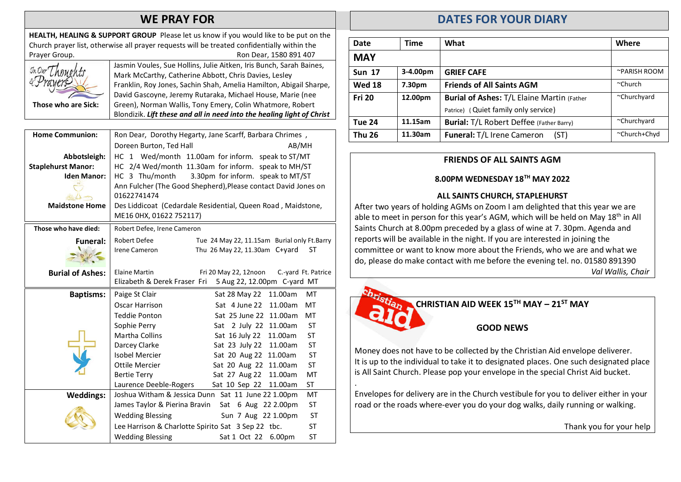## WE PRAY FOR

HEALTH, HEALING & SUPPORT GROUP Please let us know if you would like to be put on the Church prayer list, otherwise all prayer requests will be treated confidentially within the Prayer Group. **Ron Dear, 1580 891 407** Those who are Sick: Jasmin Voules, Sue Hollins, Julie Aitken, Iris Bunch, Sarah Baines, Mark McCarthy, Catherine Abbott, Chris Davies, Lesley Franklin, Roy Jones, Sachin Shah, Amelia Hamilton, Abigail Sharpe, David Gascoyne, Jeremy Rutaraka, Michael House, Marie (nee Green), Norman Wallis, Tony Emery, Colin Whatmore, Robert Blondizik. Lift these and all in need into the healing light of Christ

| <b>Home Communion:</b>    | Ron Dear, Dorothy Hegarty, Jane Scarff, Barbara Chrimes,             |  |  |
|---------------------------|----------------------------------------------------------------------|--|--|
|                           | Doreen Burton, Ted Hall<br>AB/MH                                     |  |  |
| Abbotsleigh:              | HC 1 Wed/month 11.00am for inform. speak to ST/MT                    |  |  |
| <b>Staplehurst Manor:</b> | HC 2/4 Wed/month 11.30am for inform. speak to MH/ST                  |  |  |
| <b>Iden Manor:</b>        | HC 3 Thu/month<br>3.30pm for inform. speak to MT/ST                  |  |  |
|                           | Ann Fulcher (The Good Shepherd), Please contact David Jones on       |  |  |
|                           | 01622741474                                                          |  |  |
| <b>Maidstone Home</b>     | Des Liddicoat (Cedardale Residential, Queen Road, Maidstone,         |  |  |
|                           | ME16 0HX, 01622 752117)                                              |  |  |
| Those who have died:      | Robert Defee, Irene Cameron                                          |  |  |
| <b>Funeral:</b>           | Robert Defee<br>Tue 24 May 22, 11.15am Burial only Ft.Barry          |  |  |
|                           | Thu 26 May 22, 11.30am C+yard<br>ST<br>Irene Cameron                 |  |  |
|                           |                                                                      |  |  |
| <b>Burial of Ashes:</b>   | <b>Elaine Martin</b><br>Fri 20 May 22, 12noon<br>C.-yard Ft. Patrice |  |  |
|                           | Elizabeth & Derek Fraser Fri 5 Aug 22, 12.00pm C-yard MT             |  |  |
| <b>Baptisms:</b>          | Paige St Clair<br>Sat 28 May 22<br>11.00am<br>MT                     |  |  |
|                           | Oscar Harrison<br>Sat 4 June 22<br>11.00am<br>MT                     |  |  |
|                           | MT<br><b>Teddie Ponton</b><br>Sat 25 June 22 11.00am                 |  |  |
|                           | <b>ST</b><br>Sophie Perry<br>Sat 2 July 22 11.00am                   |  |  |
|                           | <b>Martha Collins</b><br><b>ST</b><br>Sat 16 July 22<br>11.00am      |  |  |
|                           | Darcey Clarke<br>Sat 23 July 22<br>11.00am<br><b>ST</b>              |  |  |
|                           | <b>Isobel Mercier</b><br>Sat 20 Aug 22<br><b>ST</b><br>11.00am       |  |  |
|                           | <b>ST</b><br>Ottile Mercier<br>Sat 20 Aug 22<br>11.00am              |  |  |
|                           | Sat 27 Aug 22<br>11.00am<br>MT<br><b>Bertie Terry</b>                |  |  |
|                           | <b>ST</b><br>Laurence Deeble-Rogers<br>Sat 10 Sep 22<br>11.00am      |  |  |
| <b>Weddings:</b>          | Joshua Witham & Jessica Dunn Sat 11 June 22 1.00pm<br>MT             |  |  |
|                           | <b>ST</b><br>James Taylor & Pierina Bravin<br>Sat 6 Aug 22 2.00pm    |  |  |
|                           | <b>Wedding Blessing</b><br><b>ST</b><br>Sun 7 Aug 22 1.00pm          |  |  |
|                           | Lee Harrison & Charlotte Spirito Sat 3 Sep 22 tbc.<br>ST             |  |  |
|                           | <b>Wedding Blessing</b><br>6.00pm<br>ST<br>Sat 1 Oct 22              |  |  |

# DATES FOR YOUR DIARY

| Date          | Time     | What                                               | Where        |
|---------------|----------|----------------------------------------------------|--------------|
| <b>MAY</b>    |          |                                                    |              |
| <b>Sun 17</b> | 3-4.00pm | <b>GRIEF CAFE</b>                                  | ~PARISH ROOM |
| <b>Wed 18</b> | 7.30pm   | <b>Friends of All Saints AGM</b>                   | $church$     |
| <b>Fri 20</b> | 12.00pm  | <b>Burial of Ashes: T/L Elaine Martin (Father)</b> | ~Churchyard  |
|               |          | Patrice) (Quiet family only service)               |              |
| Tue 24        | 11.15am  | <b>Burial: T/L Robert Deffee (Father Barry)</b>    | ~Churchyard  |
| Thu 26        | 11.30am  | Funeral: T/L Irene Cameron<br>(ST)                 | ~Church+Chyd |

#### FRIENDS OF ALL SAINTS AGM

#### 8.00PM WEDNESDAY 18TH MAY 2022

#### ALL SAINTS CHURCH, STAPLEHURST

After two years of holding AGMs on Zoom I am delighted that this year we are able to meet in person for this year's AGM, which will be held on May  $18<sup>th</sup>$  in All Saints Church at 8.00pm preceded by a glass of wine at 7. 30pm. Agenda and reports will be available in the night. If you are interested in joining the committee or want to know more about the Friends, who we are and what we do, please do make contact with me before the evening tel. no. 01580 891390 Val Wallis, Chair



.

CHRISTIAN AID WEEK  $15^{TH}$  MAY –  $21^{ST}$  MAY

GOOD NEWS

Money does not have to be collected by the Christian Aid envelope deliverer. It is up to the individual to take it to designated places. One such designated place is All Saint Church. Please pop your envelope in the special Christ Aid bucket.

Envelopes for delivery are in the Church vestibule for you to deliver either in your road or the roads where-ever you do your dog walks, daily running or walking.

Thank you for your help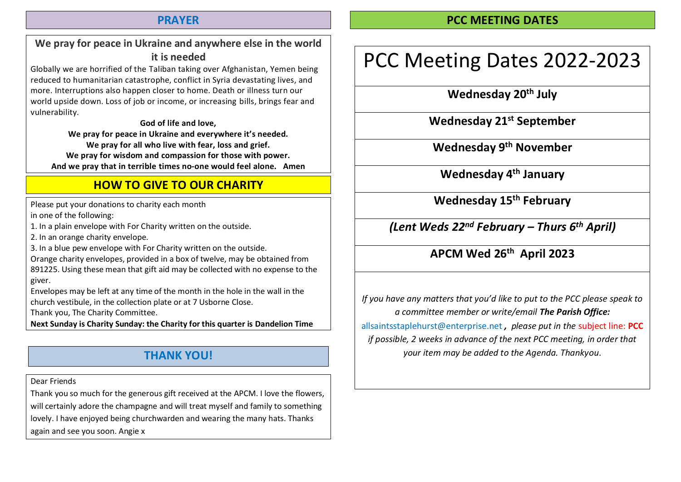### PRAYER

# PCC MEETING DATES

# We pray for peace in Ukraine and anywhere else in the world it is needed

Globally we are horrified of the Taliban taking over Afghanistan, Yemen being reduced to humanitarian catastrophe, conflict in Syria devastating lives, and more. Interruptions also happen closer to home. Death or illness turn our world upside down. Loss of job or income, or increasing bills, brings fear and vulnerability.

God of life and love,

We pray for peace in Ukraine and everywhere it's needed. We pray for all who live with fear, loss and grief. We pray for wisdom and compassion for those with power. And we pray that in terrible times no-one would feel alone. Amen

# HOW TO GIVE TO OUR CHARITY

Please put your donations to charity each month

in one of the following:

1. In a plain envelope with For Charity written on the outside.

2. In an orange charity envelope.

3. In a blue pew envelope with For Charity written on the outside.

Orange charity envelopes, provided in a box of twelve, may be obtained from

891225. Using these mean that gift aid may be collected with no expense to the giver.

Envelopes may be left at any time of the month in the hole in the wall in the church vestibule, in the collection plate or at 7 Usborne Close.

Thank you, The Charity Committee.

Next Sunday is Charity Sunday: the Charity for this quarter is Dandelion Time

# THANK YOU!

Dear Friends

Thank you so much for the generous gift received at the APCM. I love the flowers, will certainly adore the champagne and will treat myself and family to something lovely. I have enjoyed being churchwarden and wearing the many hats. Thanks again and see you soon. Angie x

# PCC Meeting Dates 2022-2023

Wednesday 20<sup>th</sup> July

Wednesday 21<sup>st</sup> September

Wednesday 9th November

Wednesday 4<sup>th</sup> January

Wednesday 15<sup>th</sup> February

(Lent Weds  $22^{nd}$  February – Thurs  $6^{th}$  April)

# APCM Wed 26th April 2023

If you have any matters that you'd like to put to the PCC please speak to a committee member or write/email The Parish Office: allsaintsstaplehurst@enterprise.net, please put in the subject line: PCC if possible, 2 weeks in advance of the next PCC meeting, in order that your item may be added to the Agenda. Thankyou.